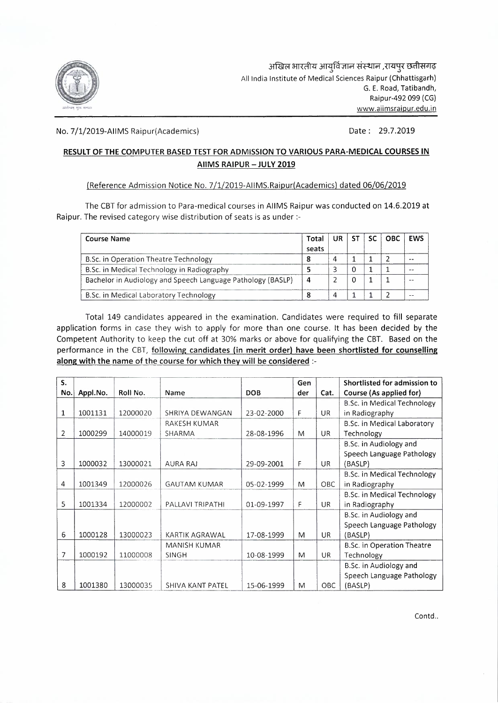

No. 7/1/2019-AIIMS Raipur(Academics) Date: 29.7.2019

## **RESULT OF THE COMPUTER BASED TEST FOR ADMISSION TO VARIOUS PARA-MEDICAL COURSES IN AIIMS RAIPUR-JULY 2019**

## (Reference Admission Notice No. 7/1/2019-AIIMS.Raipur(Academics) dated 06/06/2019

The CBT for admission to Para-medical courses in AIIMS Raipur was conducted on 14.6.2019 at Raipur. The revised category wise distribution of seats is as under:-

| <b>Course Name</b>                                          | Total<br>seats | UR. | -ST | <b>SC</b> | <b>OBC</b> | <b>EWS</b> |
|-------------------------------------------------------------|----------------|-----|-----|-----------|------------|------------|
| B.Sc. in Operation Theatre Technology                       | o              | 4   |     |           |            |            |
| B.Sc. in Medical Technology in Radiography                  |                |     |     |           |            |            |
| Bachelor in Audiology and Speech Language Pathology (BASLP) | 4              |     | 0   |           |            |            |
| B.Sc. in Medical Laboratory Technology                      |                | 4   |     |           |            |            |

Total 149 candidates appeared in the examination. Candidates were required to fill separate application forms in case they wish to apply for more than one course. It has been decided by the Competent Authority to keep the cut off at 30% marks or above for qualifying the CBT. Based on the performance in the CBT, following candidates (in merit order) have been shortlisted for counselling along with the name of the course for which they will be considered :-

| S.           |          |          |                     |            | Gen |           | <b>Shortlisted for admission to</b> |
|--------------|----------|----------|---------------------|------------|-----|-----------|-------------------------------------|
| No.          | Appl.No. | Roll No. | Name                | <b>DOB</b> | der | Cat.      | Course (As applied for)             |
|              |          |          |                     |            |     |           | <b>B.Sc. in Medical Technology</b>  |
| $\mathbf{1}$ | 1001131  | 12000020 | SHRIYA DEWANGAN     | 23-02-2000 | F   | UR.       | in Radiography                      |
|              |          |          | RAKESH KUMAR        |            |     |           | B.Sc. in Medical Laboratory         |
| 2            | 1000299  | 14000019 | SHARMA              | 28-08-1996 | M   | UR.       | Technology                          |
|              |          |          |                     |            |     |           | B.Sc. in Audiology and              |
|              |          |          |                     |            |     |           | Speech Language Pathology           |
| 3            | 1000032  | 13000021 | <b>AURA RAJ</b>     | 29-09-2001 | F   | UR.       | (BASLP)                             |
|              |          |          |                     |            |     |           | <b>B.Sc. in Medical Technology</b>  |
| 4            | 1001349  | 12000026 | <b>GAUTAM KUMAR</b> | 05-02-1999 | M   | OBC       | in Radiography                      |
|              |          |          |                     |            |     |           | B.Sc. in Medical Technology         |
| 5            | 1001334  | 12000002 | PALLAVI TRIPATHI    | 01-09-1997 | F   | <b>UR</b> | in Radiography                      |
|              |          |          |                     |            |     |           | B.Sc. in Audiology and              |
|              |          |          |                     |            |     |           | Speech Language Pathology           |
| 6            | 1000128  | 13000023 | KARTIK AGRAWAL      | 17-08-1999 | M   | <b>UR</b> | (BASLP)                             |
|              |          |          | <b>MANISH KUMAR</b> |            |     |           | <b>B.Sc. in Operation Theatre</b>   |
| 7            | 1000192  | 11000008 | SINGH               | 10-08-1999 | M   | UR        | Technology                          |
|              |          |          |                     |            |     |           | B.Sc. in Audiology and              |
|              |          |          |                     |            |     |           | Speech Language Pathology           |
| 8            | 1001380  | 13000035 | SHIVA KANT PATEL    | 15-06-1999 | M   | OBC       | (BASLP)                             |

Contd..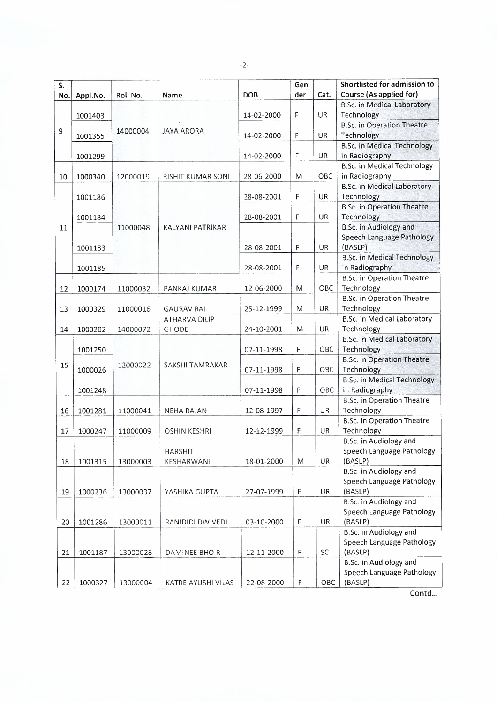-2-

| S.  |          |          |                          | <b>DOB</b> | Gen<br>der  | Cat.      | Shortlisted for admission to<br>Course (As applied for) |
|-----|----------|----------|--------------------------|------------|-------------|-----------|---------------------------------------------------------|
| No. | Appl.No. | Roll No. | Name                     |            |             |           | <b>B.Sc. in Medical Laboratory</b>                      |
|     | 1001403  |          |                          | 14-02-2000 | F           | UR        | Technology                                              |
|     |          |          |                          |            |             |           | <b>B.Sc. in Operation Theatre</b>                       |
| 9   | 1001355  | 14000004 | <b>JAYA ARORA</b>        | 14-02-2000 | $\mathsf F$ | <b>UR</b> | Technology                                              |
|     |          |          |                          |            |             |           | <b>B.Sc. in Medical Technology</b>                      |
|     | 1001299  |          |                          | 14-02-2000 | F           | UR        | in Radiography                                          |
|     |          |          |                          |            |             |           | <b>B.Sc. in Medical Technology</b>                      |
| 10  | 1000340  | 12000019 | <b>RISHIT KUMAR SONI</b> | 28-06-2000 | M           | OBC       | in Radiography                                          |
|     |          |          |                          |            |             |           | <b>B.Sc. in Medical Laboratory</b>                      |
|     | 1001186  |          |                          | 28-08-2001 | F           | <b>UR</b> | Technology                                              |
|     |          |          |                          |            |             |           | <b>B.Sc. in Operation Theatre</b>                       |
|     | 1001184  |          |                          | 28-08-2001 | $\mathsf F$ | UR        | Technology                                              |
| 11  |          | 11000048 | KALYANI PATRIKAR         |            |             |           | <b>B.Sc. in Audiology and</b>                           |
|     |          |          |                          |            |             |           | Speech Language Pathology                               |
|     | 1001183  |          |                          | 28-08-2001 | F           | UR        | (BASLP)                                                 |
|     |          |          |                          |            |             |           | <b>B.Sc. in Medical Technology</b>                      |
|     | 1001185  |          |                          | 28-08-2001 | F           | UR        | in Radiography                                          |
|     |          |          |                          |            |             |           | <b>B.Sc.</b> in Operation Theatre                       |
| 12  | 1000174  | 11000032 | PANKAJ KUMAR             | 12-06-2000 | M           | OBC       | Technology                                              |
|     |          |          |                          |            |             |           | <b>B.Sc. in Operation Theatre</b>                       |
| 13  | 1000329  | 11000016 | <b>GAURAV RAI</b>        | 25-12-1999 | M           | UR        | Technology                                              |
|     |          |          | ATHARVA DILIP            |            |             |           | <b>B.Sc. in Medical Laboratory</b>                      |
| 14  | 1000202  | 14000072 | <b>GHODE</b>             | 24-10-2001 | M           | UR        | Technology                                              |
|     |          |          |                          |            |             |           | <b>B.Sc. in Medical Laboratory</b>                      |
|     | 1001250  |          |                          | 07-11-1998 | F           | OBC       | Technology                                              |
|     |          |          |                          |            |             |           | <b>B.Sc. in Operation Theatre</b>                       |
| 15  | 1000026  | 12000022 | SAKSHI TAMRAKAR          | 07-11-1998 | F           | OBC       | Technology                                              |
|     |          |          |                          |            |             |           | <b>B.Sc. in Medical Technology</b>                      |
|     | 1001248  |          |                          | 07-11-1998 | F           | OBC       | in Radiography                                          |
|     |          |          |                          |            |             |           | <b>B.Sc. in Operation Theatre</b>                       |
| 16  | 1001281  | 11000041 | NEHA RAJAN               | 12-08-1997 | F           | UR        | Technology                                              |
|     |          |          |                          |            |             |           | <b>B.Sc. in Operation Theatre</b>                       |
| 17  | 1000247  | 11000009 | <b>OSHIN KESHRI</b>      | 12-12-1999 | F           | UR        | Technology                                              |
|     |          |          |                          |            |             |           | B.Sc. in Audiology and                                  |
|     |          |          | <b>HARSHIT</b>           |            |             |           | Speech Language Pathology                               |
| 18  | 1001315  | 13000003 | KESHARWANI               | 18-01-2000 | M           | <b>UR</b> | (BASLP)                                                 |
|     |          |          |                          |            |             |           | B.Sc. in Audiology and                                  |
|     |          |          |                          |            |             |           | Speech Language Pathology                               |
| 19  | 1000236  | 13000037 | YASHIKA GUPTA            | 27-07-1999 | F           | UR        | (BASLP)                                                 |
|     |          |          |                          |            |             |           | <b>B.Sc.</b> in Audiology and                           |
|     |          |          |                          |            |             |           | Speech Language Pathology                               |
| 20  | 1001286  | 13000011 | RANIDIDI DWIVEDI         | 03-10-2000 | F           | UR        | (BASLP)                                                 |
|     |          |          |                          |            |             |           | <b>B.Sc.</b> in Audiology and                           |
|     |          |          |                          |            |             |           | Speech Language Pathology                               |
| 21  | 1001187  | 13000028 | DAMINEE BHOIR            | 12-11-2000 | F           | SC        | (BASLP)                                                 |
|     |          |          |                          |            |             |           | <b>B.Sc. in Audiology and</b>                           |
|     |          |          |                          |            |             |           | Speech Language Pathology                               |
| 22  | 1000327  | 13000004 | KATRE AYUSHI VILAS       | 22-08-2000 | F           | OBC       | (BASLP)                                                 |

Contd...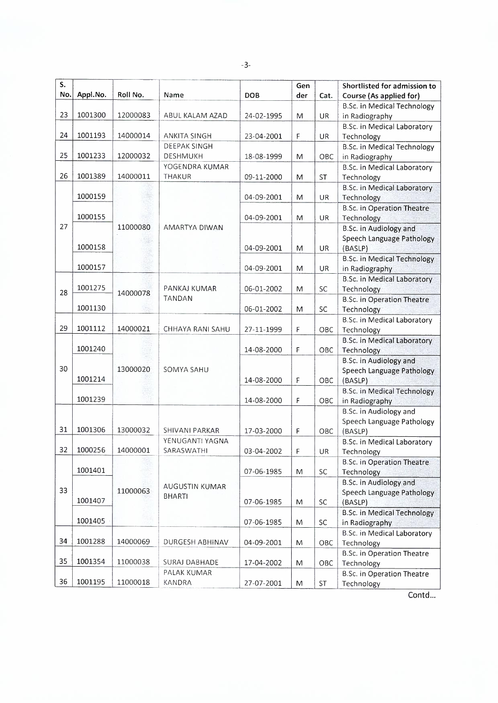-3-

| $S_{\cdot}$ |          |            |                       |            | Gen         |           | Shortlisted for admission to       |
|-------------|----------|------------|-----------------------|------------|-------------|-----------|------------------------------------|
| No.         | Appl.No. | Roll No.   | Name                  | <b>DOB</b> | der         | Cat.      | Course (As applied for)            |
|             |          |            |                       |            |             |           | <b>B.Sc. in Medical Technology</b> |
| 23          | 1001300  | 12000083   | ABUL KALAM AZAD       | 24-02-1995 | M           | UR        | in Radiography                     |
|             |          |            |                       |            |             |           | <b>B.Sc. in Medical Laboratory</b> |
| 24          | 1001193  | 14000014   | ANKITA SINGH          | 23-04-2001 | F           | UR        | Technology                         |
|             |          |            | DEEPAK SINGH          |            |             |           | <b>B.Sc. in Medical Technology</b> |
| 25          | 1001233  | 12000032   | <b>DESHMUKH</b>       | 18-08-1999 | M           | OBC       | in Radiography                     |
|             |          |            | YOGENDRA KUMAR        |            |             |           | <b>B.Sc. in Medical Laboratory</b> |
| 26          | 1001389  | 14000011   | THAKUR                | 09-11-2000 | M           | <b>ST</b> | Technology                         |
|             |          |            |                       |            |             |           | <b>B.Sc. in Medical Laboratory</b> |
|             | 1000159  |            |                       | 04-09-2001 | M           | UR        | Technology                         |
|             |          |            |                       |            |             |           | <b>B.Sc. in Operation Theatre</b>  |
|             | 1000155  |            |                       | 04-09-2001 | M           | UR        | Technology                         |
| 27          |          | 11000080   | AMARTYA DIWAN         |            |             |           | <b>B.Sc. in Audiology and</b>      |
|             |          |            |                       |            |             |           | Speech Language Pathology          |
|             | 1000158  |            |                       | 04-09-2001 | M           | UR        | (BASLP)                            |
|             |          |            |                       |            |             |           | <b>B.Sc. in Medical Technology</b> |
|             | 1000157  |            |                       | 04-09-2001 | M           | UR        | in Radiography                     |
|             |          |            |                       |            |             |           | <b>B.Sc. in Medical Laboratory</b> |
| 28          | 1001275  | 14000078   | PANKAJ KUMAR          | 06-01-2002 | M           | SC        | Technology                         |
|             |          |            | <b>TANDAN</b>         |            |             |           | <b>B.Sc. in Operation Theatre</b>  |
|             | 1001130  |            |                       | 06-01-2002 | M           | SC        | Technology                         |
|             |          |            |                       |            |             |           | B.Sc. in Medical Laboratory        |
| 29          | 1001112  | 14000021   | CHHAYA RANI SAHU      | 27-11-1999 | $\mathsf F$ | OBC       | Technology                         |
|             |          |            |                       |            |             |           | <b>B.Sc. in Medical Laboratory</b> |
|             | 1001240  | 13000020   |                       | 14-08-2000 | F           | OBC       | Technology                         |
|             |          |            |                       |            |             |           | <b>B.Sc. in Audiology and</b>      |
| 30          |          |            | <b>SOMYA SAHU</b>     |            |             |           | Speech Language Pathology          |
|             | 1001214  |            |                       | 14-08-2000 | F           | OBC       | (BASLP)                            |
|             |          |            |                       |            |             |           | <b>B.Sc. in Medical Technology</b> |
|             | 1001239  |            |                       | 14-08-2000 | F           | ОВС       | in Radiography                     |
|             |          |            |                       |            |             |           | <b>B.Sc.</b> in Audiology and      |
|             |          |            |                       |            |             |           | Speech Language Pathology          |
| 31          | 1001306  | 13000032   | <b>SHIVANI PARKAR</b> | 17-03-2000 | F           | OBC       | (BASLP)                            |
|             |          |            | YENUGANTI YAGNA       |            |             |           | <b>B.Sc. in Medical Laboratory</b> |
| 32          | 1000256  | 14000001   | SARASWATHI            | 03-04-2002 | F           | UR        | Technology                         |
|             |          |            |                       |            |             |           | <b>B.Sc. in Operation Theatre</b>  |
|             | 1001401  |            |                       | 07-06-1985 | M           | SC        | Technology                         |
|             |          |            | AUGUSTIN KUMAR        |            |             |           | <b>B.Sc. in Audiology and</b>      |
| 33          | 11000063 |            | <b>BHARTI</b>         |            |             |           | Speech Language Pathology          |
|             | 1001407  | 07-06-1985 |                       | M          | SC          | (BASLP)   |                                    |
|             |          |            |                       |            |             |           | <b>B.Sc. in Medical Technology</b> |
|             | 1001405  |            |                       | 07-06-1985 | M           | SC        | in Radiography                     |
| 34          | 1001288  |            | DURGESH ABHINAV       |            |             |           | <b>B.Sc. in Medical Laboratory</b> |
|             |          | 14000069   |                       | 04-09-2001 | M           | OBC       | Technology                         |
| 35          | 1001354  |            |                       |            |             |           | <b>B.Sc. in Operation Theatre</b>  |
|             |          | 11000038   | <b>SURAJ DABHADE</b>  | 17-04-2002 | M           | OBC       | Technology                         |
| 36          | 1001195  |            | PALAK KUMAR           |            |             |           | B.Sc. in Operation Theatre         |
|             |          | 11000018   | KANDRA                | 27-07-2001 | M           | ST        | Technology                         |

Contd...